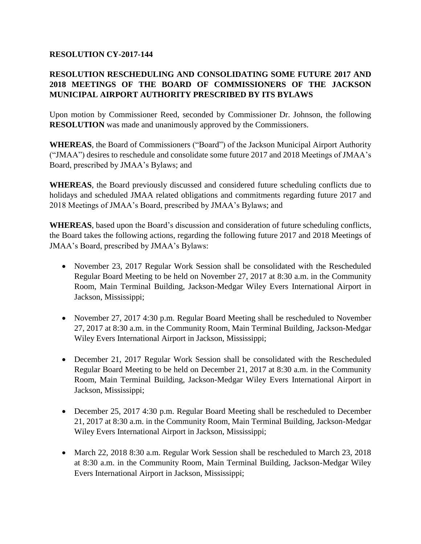## **RESOLUTION CY-2017-144**

## **RESOLUTION RESCHEDULING AND CONSOLIDATING SOME FUTURE 2017 AND 2018 MEETINGS OF THE BOARD OF COMMISSIONERS OF THE JACKSON MUNICIPAL AIRPORT AUTHORITY PRESCRIBED BY ITS BYLAWS**

Upon motion by Commissioner Reed, seconded by Commissioner Dr. Johnson, the following **RESOLUTION** was made and unanimously approved by the Commissioners.

**WHEREAS**, the Board of Commissioners ("Board") of the Jackson Municipal Airport Authority ("JMAA") desires to reschedule and consolidate some future 2017 and 2018 Meetings of JMAA's Board, prescribed by JMAA's Bylaws; and

**WHEREAS**, the Board previously discussed and considered future scheduling conflicts due to holidays and scheduled JMAA related obligations and commitments regarding future 2017 and 2018 Meetings of JMAA's Board, prescribed by JMAA's Bylaws; and

**WHEREAS**, based upon the Board's discussion and consideration of future scheduling conflicts, the Board takes the following actions, regarding the following future 2017 and 2018 Meetings of JMAA's Board, prescribed by JMAA's Bylaws:

- November 23, 2017 Regular Work Session shall be consolidated with the Rescheduled Regular Board Meeting to be held on November 27, 2017 at 8:30 a.m. in the Community Room, Main Terminal Building, Jackson-Medgar Wiley Evers International Airport in Jackson, Mississippi;
- November 27, 2017 4:30 p.m. Regular Board Meeting shall be rescheduled to November 27, 2017 at 8:30 a.m. in the Community Room, Main Terminal Building, Jackson-Medgar Wiley Evers International Airport in Jackson, Mississippi;
- December 21, 2017 Regular Work Session shall be consolidated with the Rescheduled Regular Board Meeting to be held on December 21, 2017 at 8:30 a.m. in the Community Room, Main Terminal Building, Jackson-Medgar Wiley Evers International Airport in Jackson, Mississippi;
- December 25, 2017 4:30 p.m. Regular Board Meeting shall be rescheduled to December 21, 2017 at 8:30 a.m. in the Community Room, Main Terminal Building, Jackson-Medgar Wiley Evers International Airport in Jackson, Mississippi;
- March 22, 2018 8:30 a.m. Regular Work Session shall be rescheduled to March 23, 2018 at 8:30 a.m. in the Community Room, Main Terminal Building, Jackson-Medgar Wiley Evers International Airport in Jackson, Mississippi;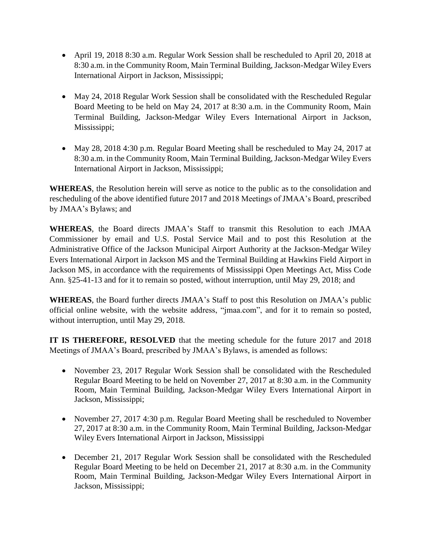- April 19, 2018 8:30 a.m. Regular Work Session shall be rescheduled to April 20, 2018 at 8:30 a.m. in the Community Room, Main Terminal Building, Jackson-Medgar Wiley Evers International Airport in Jackson, Mississippi;
- May 24, 2018 Regular Work Session shall be consolidated with the Rescheduled Regular Board Meeting to be held on May 24, 2017 at 8:30 a.m. in the Community Room, Main Terminal Building, Jackson-Medgar Wiley Evers International Airport in Jackson, Mississippi;
- May 28, 2018 4:30 p.m. Regular Board Meeting shall be rescheduled to May 24, 2017 at 8:30 a.m. in the Community Room, Main Terminal Building, Jackson-Medgar Wiley Evers International Airport in Jackson, Mississippi;

**WHEREAS**, the Resolution herein will serve as notice to the public as to the consolidation and rescheduling of the above identified future 2017 and 2018 Meetings of JMAA's Board, prescribed by JMAA's Bylaws; and

**WHEREAS**, the Board directs JMAA's Staff to transmit this Resolution to each JMAA Commissioner by email and U.S. Postal Service Mail and to post this Resolution at the Administrative Office of the Jackson Municipal Airport Authority at the Jackson-Medgar Wiley Evers International Airport in Jackson MS and the Terminal Building at Hawkins Field Airport in Jackson MS, in accordance with the requirements of Mississippi Open Meetings Act, Miss Code Ann. §25-41-13 and for it to remain so posted, without interruption, until May 29, 2018; and

**WHEREAS**, the Board further directs JMAA's Staff to post this Resolution on JMAA's public official online website, with the website address, "jmaa.com", and for it to remain so posted, without interruption, until May 29, 2018.

**IT IS THEREFORE, RESOLVED** that the meeting schedule for the future 2017 and 2018 Meetings of JMAA's Board, prescribed by JMAA's Bylaws, is amended as follows:

- November 23, 2017 Regular Work Session shall be consolidated with the Rescheduled Regular Board Meeting to be held on November 27, 2017 at 8:30 a.m. in the Community Room, Main Terminal Building, Jackson-Medgar Wiley Evers International Airport in Jackson, Mississippi;
- November 27, 2017 4:30 p.m. Regular Board Meeting shall be rescheduled to November 27, 2017 at 8:30 a.m. in the Community Room, Main Terminal Building, Jackson-Medgar Wiley Evers International Airport in Jackson, Mississippi
- December 21, 2017 Regular Work Session shall be consolidated with the Rescheduled Regular Board Meeting to be held on December 21, 2017 at 8:30 a.m. in the Community Room, Main Terminal Building, Jackson-Medgar Wiley Evers International Airport in Jackson, Mississippi;